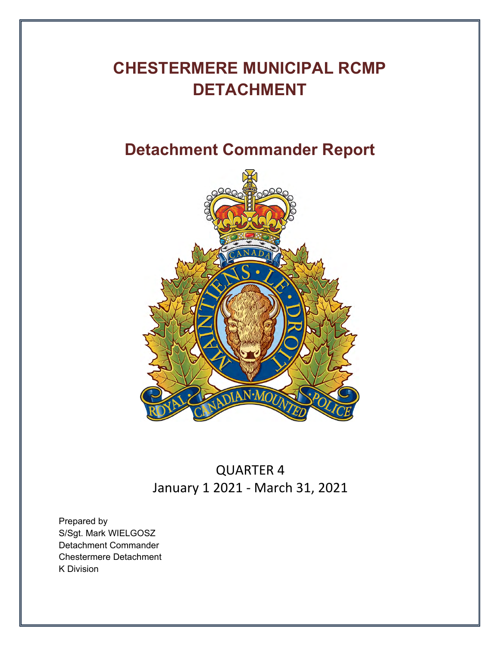# **CHESTERMERE MUNICIPAL RCMP DETACHMENT**

# **Detachment Commander Report**



QUARTER 4 January 1 2021 - March 31, 2021

Prepared by S/Sgt. Mark WIELGOSZ Detachment Commander Chestermere Detachment K Division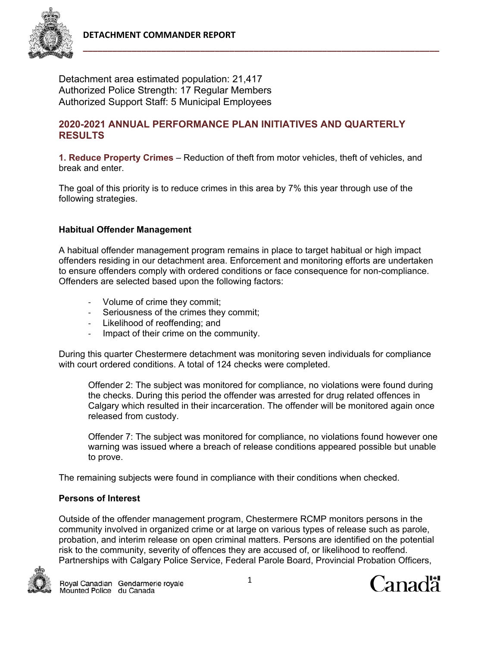

Detachment area estimated population: 21,417 Authorized Police Strength: 17 Regular Members Authorized Support Staff: 5 Municipal Employees

## **2020-2021 ANNUAL PERFORMANCE PLAN INITIATIVES AND QUARTERLY RESULTS**

**1. Reduce Property Crimes** – Reduction of theft from motor vehicles, theft of vehicles, and break and enter.

The goal of this priority is to reduce crimes in this area by 7% this year through use of the following strategies.

### **Habitual Offender Management**

A habitual offender management program remains in place to target habitual or high impact offenders residing in our detachment area. Enforcement and monitoring efforts are undertaken to ensure offenders comply with ordered conditions or face consequence for non-compliance. Offenders are selected based upon the following factors:

- ‐ Volume of crime they commit;
- ‐ Seriousness of the crimes they commit;
- ‐ Likelihood of reoffending; and
- ‐ Impact of their crime on the community.

During this quarter Chestermere detachment was monitoring seven individuals for compliance with court ordered conditions. A total of 124 checks were completed.

Offender 2: The subject was monitored for compliance, no violations were found during the checks. During this period the offender was arrested for drug related offences in Calgary which resulted in their incarceration. The offender will be monitored again once released from custody.

Offender 7: The subject was monitored for compliance, no violations found however one warning was issued where a breach of release conditions appeared possible but unable to prove.

The remaining subjects were found in compliance with their conditions when checked.

#### **Persons of Interest**

Outside of the offender management program, Chestermere RCMP monitors persons in the community involved in organized crime or at large on various types of release such as parole, probation, and interim release on open criminal matters. Persons are identified on the potential risk to the community, severity of offences they are accused of, or likelihood to reoffend. Partnerships with Calgary Police Service, Federal Parole Board, Provincial Probation Officers,



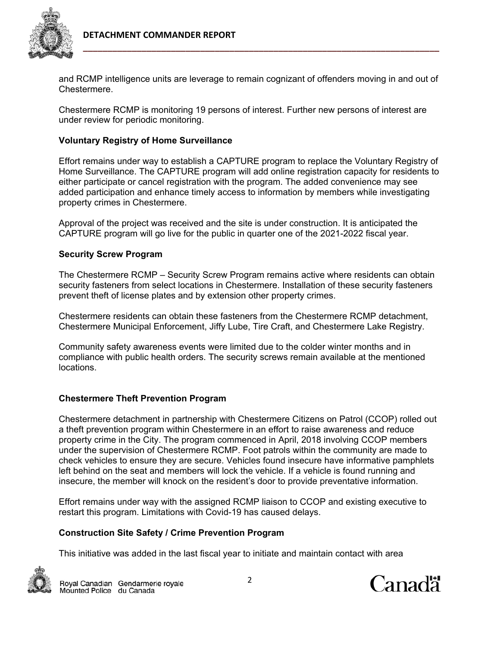

and RCMP intelligence units are leverage to remain cognizant of offenders moving in and out of Chestermere.

Chestermere RCMP is monitoring 19 persons of interest. Further new persons of interest are under review for periodic monitoring.

# **Voluntary Registry of Home Surveillance**

Effort remains under way to establish a CAPTURE program to replace the Voluntary Registry of Home Surveillance. The CAPTURE program will add online registration capacity for residents to either participate or cancel registration with the program. The added convenience may see added participation and enhance timely access to information by members while investigating property crimes in Chestermere.

Approval of the project was received and the site is under construction. It is anticipated the CAPTURE program will go live for the public in quarter one of the 2021-2022 fiscal year.

# **Security Screw Program**

The Chestermere RCMP – Security Screw Program remains active where residents can obtain security fasteners from select locations in Chestermere. Installation of these security fasteners prevent theft of license plates and by extension other property crimes.

Chestermere residents can obtain these fasteners from the Chestermere RCMP detachment, Chestermere Municipal Enforcement, Jiffy Lube, Tire Craft, and Chestermere Lake Registry.

Community safety awareness events were limited due to the colder winter months and in compliance with public health orders. The security screws remain available at the mentioned locations.

# **Chestermere Theft Prevention Program**

Chestermere detachment in partnership with Chestermere Citizens on Patrol (CCOP) rolled out a theft prevention program within Chestermere in an effort to raise awareness and reduce property crime in the City. The program commenced in April, 2018 involving CCOP members under the supervision of Chestermere RCMP. Foot patrols within the community are made to check vehicles to ensure they are secure. Vehicles found insecure have informative pamphlets left behind on the seat and members will lock the vehicle. If a vehicle is found running and insecure, the member will knock on the resident's door to provide preventative information.

Effort remains under way with the assigned RCMP liaison to CCOP and existing executive to restart this program. Limitations with Covid-19 has caused delays.

# **Construction Site Safety / Crime Prevention Program**

This initiative was added in the last fiscal year to initiate and maintain contact with area



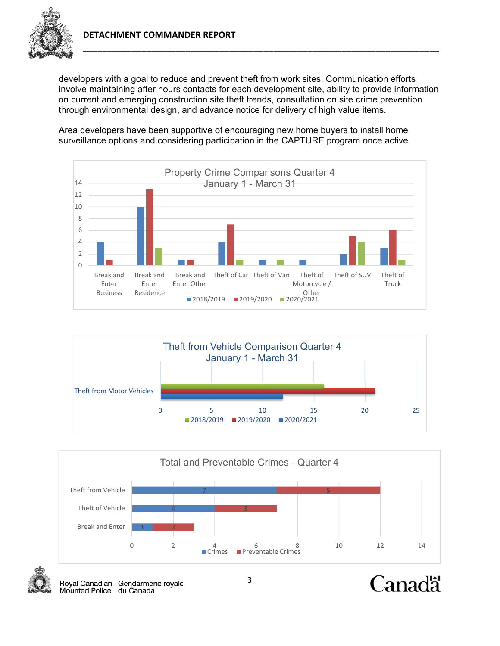

developers with a goal to reduce and prevent theft from work sites. Communication efforts involve maintaining after hours contacts for each development site, ability to provide information on current and emerging construction site theft trends, consultation on site crime prevention through environmental design, and advance notice for delivery of high value items.

Area developers have been supportive of encouraging new home buyers to install home surveillance options and considering participation in the CAPTURE program once active.







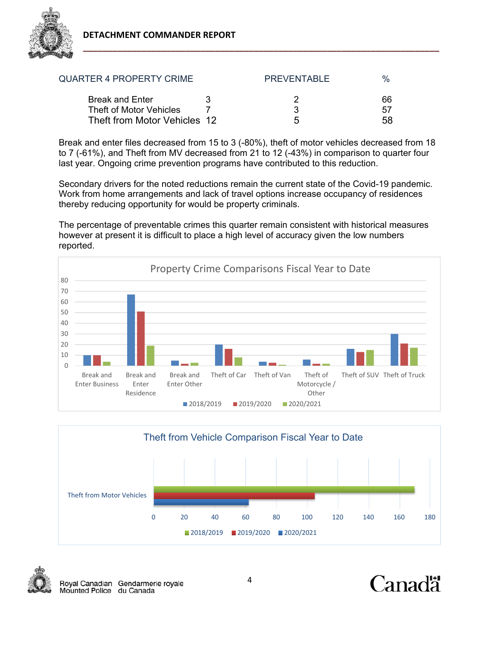

| <b>QUARTER 4 PROPERTY CRIME</b>                   |   | <b>PREVENTABLE</b> | $\%$     |
|---------------------------------------------------|---|--------------------|----------|
| <b>Break and Enter</b><br>Theft of Motor Vehicles | ર | વ                  | 66<br>57 |
| Theft from Motor Vehicles 12                      |   | h                  | 58       |

Break and enter files decreased from 15 to 3 (-80%), theft of motor vehicles decreased from 18 to 7 (-61%), and Theft from MV decreased from 21 to 12 (-43%) in comparison to quarter four last year. Ongoing crime prevention programs have contributed to this reduction.

Secondary drivers for the noted reductions remain the current state of the Covid-19 pandemic. Work from home arrangements and lack of travel options increase occupancy of residences thereby reducing opportunity for would be property criminals.

The percentage of preventable crimes this quarter remain consistent with historical measures however at present it is difficult to place a high level of accuracy given the low numbers reported.







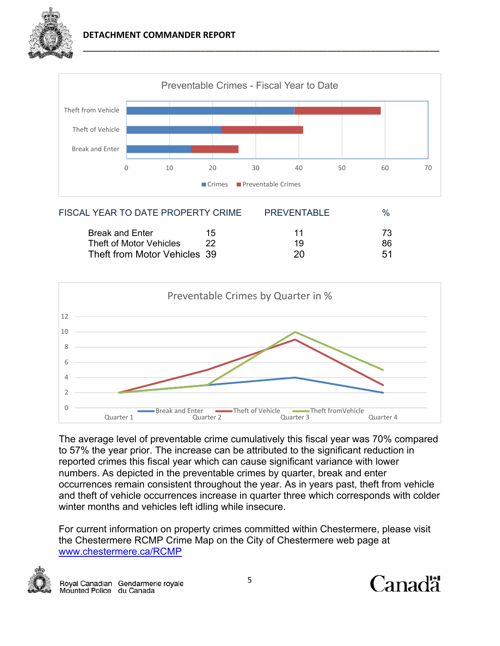



| FISCAL YEAR TO DATE PROPERTY CRIME |    | <b>PREVENTABLE</b> |    |
|------------------------------------|----|--------------------|----|
| <b>Break and Enter</b>             | 15 | 11                 | 73 |
| Theft of Motor Vehicles            |    | 19                 | 86 |
| Theft from Motor Vehicles 39       |    | 20                 | 51 |
|                                    |    |                    |    |



The average level of preventable crime cumulatively this fiscal year was 70% compared to 57% the year prior. The increase can be attributed to the significant reduction in reported crimes this fiscal year which can cause significant variance with lower numbers. As depicted in the preventable crimes by quarter, break and enter occurrences remain consistent throughout the year. As in years past, theft from vehicle and theft of vehicle occurrences increase in quarter three which corresponds with colder winter months and vehicles left idling while insecure.

For current information on property crimes committed within Chestermere, please visit the Chestermere RCMP Crime Map on the City of Chestermere web page at www.chestermere.ca/RCMP



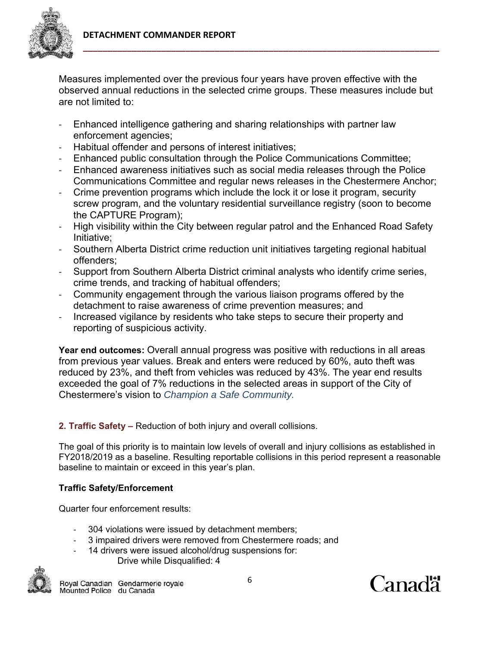

Measures implemented over the previous four years have proven effective with the observed annual reductions in the selected crime groups. These measures include but are not limited to:

- ‐ Enhanced intelligence gathering and sharing relationships with partner law enforcement agencies;
- ‐ Habitual offender and persons of interest initiatives;
- ‐ Enhanced public consultation through the Police Communications Committee;
- ‐ Enhanced awareness initiatives such as social media releases through the Police Communications Committee and regular news releases in the Chestermere Anchor;
- ‐ Crime prevention programs which include the lock it or lose it program, security screw program, and the voluntary residential surveillance registry (soon to become the CAPTURE Program);
- ‐ High visibility within the City between regular patrol and the Enhanced Road Safety Initiative;
- ‐ Southern Alberta District crime reduction unit initiatives targeting regional habitual offenders;
- ‐ Support from Southern Alberta District criminal analysts who identify crime series, crime trends, and tracking of habitual offenders;
- ‐ Community engagement through the various liaison programs offered by the detachment to raise awareness of crime prevention measures; and
- ‐ Increased vigilance by residents who take steps to secure their property and reporting of suspicious activity.

**Year end outcomes:** Overall annual progress was positive with reductions in all areas from previous year values. Break and enters were reduced by 60%, auto theft was reduced by 23%, and theft from vehicles was reduced by 43%. The year end results exceeded the goal of 7% reductions in the selected areas in support of the City of Chestermere's vision to *Champion a Safe Community.*

**2. Traffic Safety –** Reduction of both injury and overall collisions.

The goal of this priority is to maintain low levels of overall and injury collisions as established in FY2018/2019 as a baseline. Resulting reportable collisions in this period represent a reasonable baseline to maintain or exceed in this year's plan.

# **Traffic Safety/Enforcement**

Quarter four enforcement results:

- 304 violations were issued by detachment members;
- 3 impaired drivers were removed from Chestermere roads; and
- 14 drivers were issued alcohol/drug suspensions for: Drive while Disqualified: 4



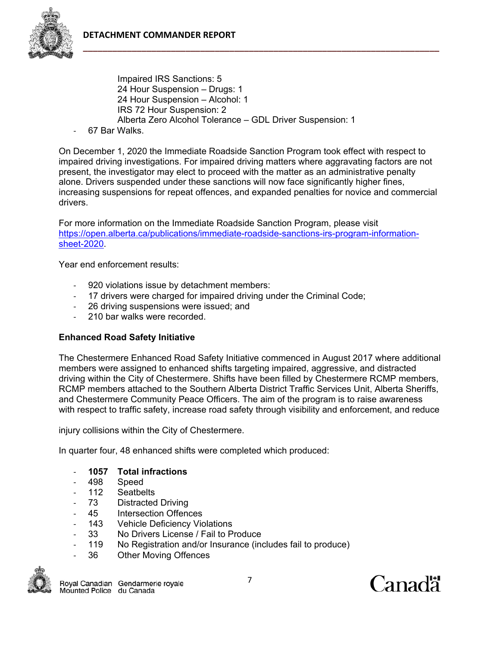

 Impaired IRS Sanctions: 5 24 Hour Suspension – Drugs: 1 24 Hour Suspension – Alcohol: 1 IRS 72 Hour Suspension: 2 Alberta Zero Alcohol Tolerance – GDL Driver Suspension: 1

‐ 67 Bar Walks.

On December 1, 2020 the Immediate Roadside Sanction Program took effect with respect to impaired driving investigations. For impaired driving matters where aggravating factors are not present, the investigator may elect to proceed with the matter as an administrative penalty alone. Drivers suspended under these sanctions will now face significantly higher fines, increasing suspensions for repeat offences, and expanded penalties for novice and commercial drivers.

For more information on the Immediate Roadside Sanction Program, please visit https://open.alberta.ca/publications/immediate-roadside-sanctions-irs-program-informationsheet-2020.

Year end enforcement results:

- ‐ 920 violations issue by detachment members:
- ‐ 17 drivers were charged for impaired driving under the Criminal Code;
- ‐ 26 driving suspensions were issued; and
- ‐ 210 bar walks were recorded.

# **Enhanced Road Safety Initiative**

The Chestermere Enhanced Road Safety Initiative commenced in August 2017 where additional members were assigned to enhanced shifts targeting impaired, aggressive, and distracted driving within the City of Chestermere. Shifts have been filled by Chestermere RCMP members, RCMP members attached to the Southern Alberta District Traffic Services Unit, Alberta Sheriffs, and Chestermere Community Peace Officers. The aim of the program is to raise awareness with respect to traffic safety, increase road safety through visibility and enforcement, and reduce

injury collisions within the City of Chestermere.

In quarter four, 48 enhanced shifts were completed which produced:

- ‐ **1057 Total infractions**
- ‐ 498 Speed
- ‐ 112 Seatbelts
- ‐ 73 Distracted Driving
- ‐ 45 Intersection Offences
- ‐ 143 Vehicle Deficiency Violations
- ‐ 33 No Drivers License / Fail to Produce
- ‐ 119 No Registration and/or Insurance (includes fail to produce)
- ‐ 36 Other Moving Offences

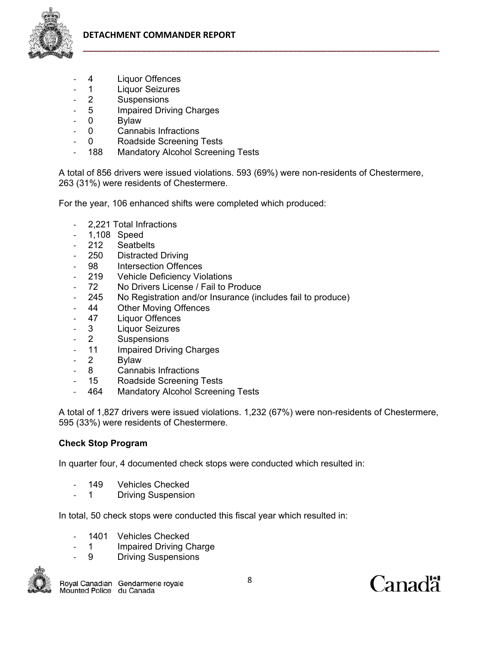- ‐ 4 Liquor Offences
- ‐ 1 Liquor Seizures
- ‐ 2 Suspensions
- 5 **Impaired Driving Charges**
- 0 Bylaw
- ‐ 0 Cannabis Infractions
- ‐ 0 Roadside Screening Tests
- ‐ 188 Mandatory Alcohol Screening Tests

A total of 856 drivers were issued violations. 593 (69%) were non-residents of Chestermere, 263 (31%) were residents of Chestermere.

For the year, 106 enhanced shifts were completed which produced:

- ‐ 2,221 Total Infractions
- ‐ 1,108 Speed
- ‐ 212 Seatbelts
- ‐ 250 Distracted Driving
- 98 Intersection Offences
- ‐ 219 Vehicle Deficiency Violations
- ‐ 72 No Drivers License / Fail to Produce
- ‐ 245 No Registration and/or Insurance (includes fail to produce)
- ‐ 44 Other Moving Offences
- ‐ 47 Liquor Offences
- ‐ 3 Liquor Seizures
- ‐ 2 Suspensions
- ‐ 11 Impaired Driving Charges
- ‐ 2 Bylaw
- ‐ 8 Cannabis Infractions
- ‐ 15 Roadside Screening Tests
- ‐ 464 Mandatory Alcohol Screening Tests

A total of 1,827 drivers were issued violations. 1,232 (67%) were non-residents of Chestermere, 595 (33%) were residents of Chestermere.

## **Check Stop Program**

In quarter four, 4 documented check stops were conducted which resulted in:

- 149 Vehicles Checked
- ‐ 1 Driving Suspension

In total, 50 check stops were conducted this fiscal year which resulted in:

- 1401 Vehicles Checked
- 1 **Impaired Driving Charge**
- ‐ 9 Driving Suspensions



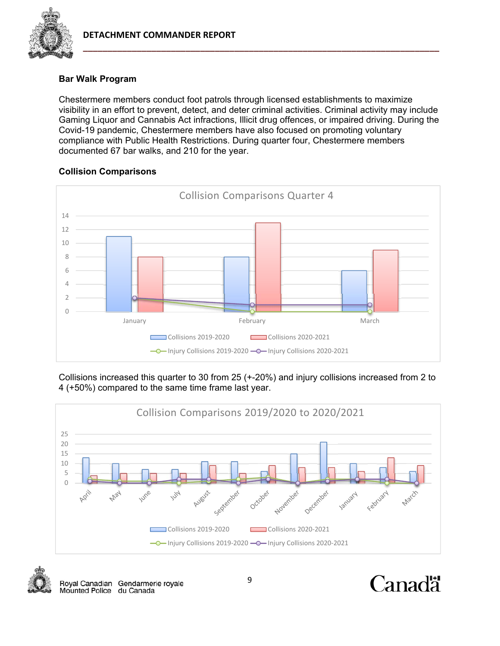

# **Bar Walk Program**

Chestermere members conduct foot patrols through licensed establishments to maximize visibility in an effort to prevent, detect, and deter criminal activities. Criminal activity may include Gaming Liquor and Cannabis Act infractions, Illicit drug offences, or impaired driving. During the Covid-19 pandemic, Chestermere members have also focused on promoting voluntary compliance with Public Health Restrictions. During quarter four, Chestermere members documented 67 bar walks, and 210 for the year.

# **Collision Comparisons**



Collisions increased this quarter to 30 from 25 (+-20%) and injury collisions increased from 2 to 4 (+50%) compared to the same time frame last year.





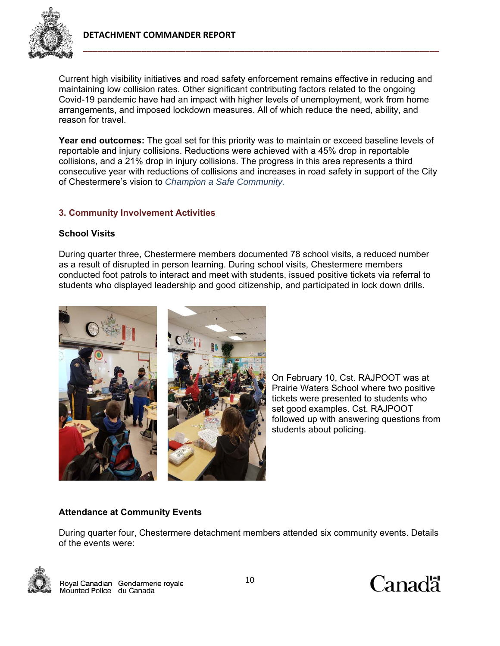

Current high visibility initiatives and road safety enforcement remains effective in reducing and maintaining low collision rates. Other significant contributing factors related to the ongoing Covid-19 pandemic have had an impact with higher levels of unemployment, work from home arrangements, and imposed lockdown measures. All of which reduce the need, ability, and reason for travel.

**Year end outcomes:** The goal set for this priority was to maintain or exceed baseline levels of reportable and injury collisions. Reductions were achieved with a 45% drop in reportable collisions, and a 21% drop in injury collisions. The progress in this area represents a third consecutive year with reductions of collisions and increases in road safety in support of the City of Chestermere's vision to *Champion a Safe Community.*

#### **3. Community Involvement Activities**

#### **School Visits**

During quarter three, Chestermere members documented 78 school visits, a reduced number as a result of disrupted in person learning. During school visits, Chestermere members conducted foot patrols to interact and meet with students, issued positive tickets via referral to students who displayed leadership and good citizenship, and participated in lock down drills.



On February 10, Cst. RAJPOOT was at Prairie Waters School where two positive tickets were presented to students who set good examples. Cst. RAJPOOT followed up with answering questions from students about policing.

#### **Attendance at Community Events**

During quarter four, Chestermere detachment members attended six community events. Details of the events were:





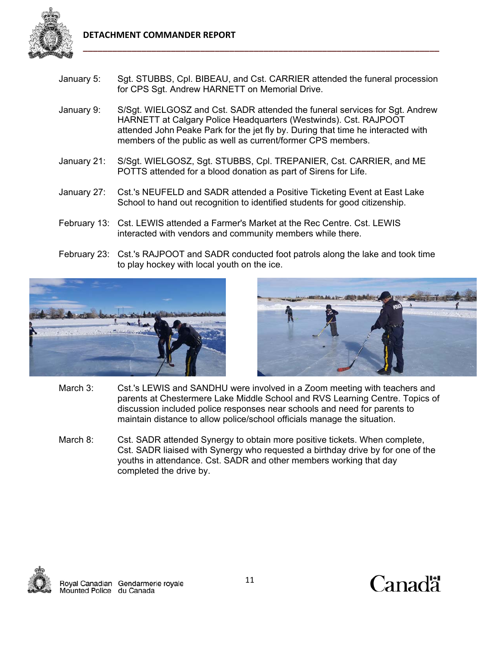

- January 5: Sgt. STUBBS, Cpl. BIBEAU, and Cst. CARRIER attended the funeral procession for CPS Sgt. Andrew HARNETT on Memorial Drive.
- January 9: S/Sgt. WIELGOSZ and Cst. SADR attended the funeral services for Sgt. Andrew HARNETT at Calgary Police Headquarters (Westwinds). Cst. RAJPOOT attended John Peake Park for the jet fly by. During that time he interacted with members of the public as well as current/former CPS members.
- January 21: S/Sgt. WIELGOSZ, Sgt. STUBBS, Cpl. TREPANIER, Cst. CARRIER, and ME POTTS attended for a blood donation as part of Sirens for Life.
- January 27: Cst.'s NEUFELD and SADR attended a Positive Ticketing Event at East Lake School to hand out recognition to identified students for good citizenship.
- February 13: Cst. LEWIS attended a Farmer's Market at the Rec Centre. Cst. LEWIS interacted with vendors and community members while there.
- February 23: Cst.'s RAJPOOT and SADR conducted foot patrols along the lake and took time to play hockey with local youth on the ice.





- March 3: Cst.'s LEWIS and SANDHU were involved in a Zoom meeting with teachers and parents at Chestermere Lake Middle School and RVS Learning Centre. Topics of discussion included police responses near schools and need for parents to maintain distance to allow police/school officials manage the situation.
- March 8: Cst. SADR attended Synergy to obtain more positive tickets. When complete, Cst. SADR liaised with Synergy who requested a birthday drive by for one of the youths in attendance. Cst. SADR and other members working that day completed the drive by.



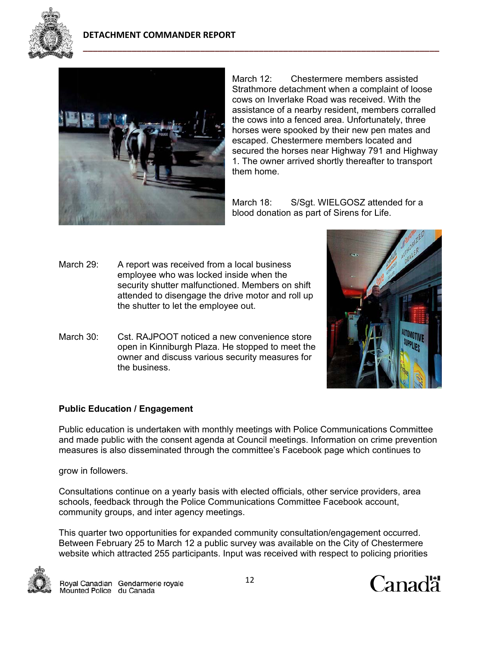



March 12: Chestermere members assisted Strathmore detachment when a complaint of loose cows on Inverlake Road was received. With the assistance of a nearby resident, members corralled the cows into a fenced area. Unfortunately, three horses were spooked by their new pen mates and escaped. Chestermere members located and secured the horses near Highway 791 and Highway 1. The owner arrived shortly thereafter to transport them home.

March 18: S/Sgt. WIELGOSZ attended for a blood donation as part of Sirens for Life.

- March 29: A report was received from a local business employee who was locked inside when the security shutter malfunctioned. Members on shift attended to disengage the drive motor and roll up the shutter to let the employee out.
- March 30: Cst. RAJPOOT noticed a new convenience store open in Kinniburgh Plaza. He stopped to meet the owner and discuss various security measures for the business.



## **Public Education / Engagement**

Public education is undertaken with monthly meetings with Police Communications Committee and made public with the consent agenda at Council meetings. Information on crime prevention measures is also disseminated through the committee's Facebook page which continues to

grow in followers.

Consultations continue on a yearly basis with elected officials, other service providers, area schools, feedback through the Police Communications Committee Facebook account, community groups, and inter agency meetings.

This quarter two opportunities for expanded community consultation/engagement occurred. Between February 25 to March 12 a public survey was available on the City of Chestermere website which attracted 255 participants. Input was received with respect to policing priorities



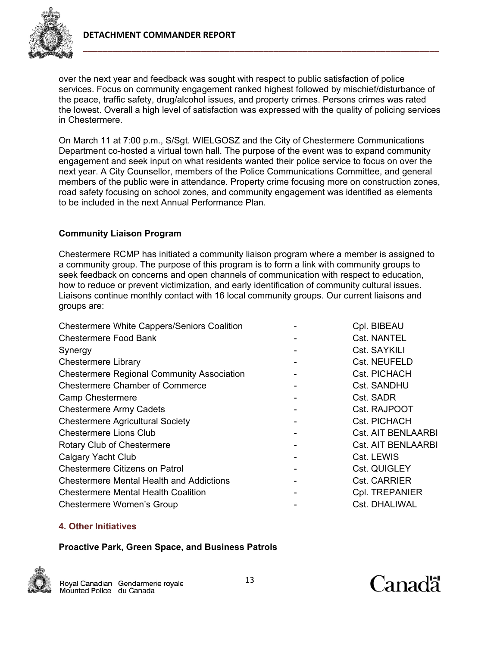

over the next year and feedback was sought with respect to public satisfaction of police services. Focus on community engagement ranked highest followed by mischief/disturbance of the peace, traffic safety, drug/alcohol issues, and property crimes. Persons crimes was rated the lowest. Overall a high level of satisfaction was expressed with the quality of policing services in Chestermere.

On March 11 at 7:00 p.m., S/Sgt. WIELGOSZ and the City of Chestermere Communications Department co-hosted a virtual town hall. The purpose of the event was to expand community engagement and seek input on what residents wanted their police service to focus on over the next year. A City Counsellor, members of the Police Communications Committee, and general members of the public were in attendance. Property crime focusing more on construction zones, road safety focusing on school zones, and community engagement was identified as elements to be included in the next Annual Performance Plan.

## **Community Liaison Program**

Chestermere RCMP has initiated a community liaison program where a member is assigned to a community group. The purpose of this program is to form a link with community groups to seek feedback on concerns and open channels of communication with respect to education, how to reduce or prevent victimization, and early identification of community cultural issues. Liaisons continue monthly contact with 16 local community groups. Our current liaisons and groups are:

| <b>Chestermere White Cappers/Seniors Coalition</b> | Cpl. BIBEAU               |
|----------------------------------------------------|---------------------------|
| <b>Chestermere Food Bank</b>                       | <b>Cst. NANTEL</b>        |
| Synergy                                            | Cst. SAYKILI              |
| <b>Chestermere Library</b>                         | Cst. NEUFELD              |
| <b>Chestermere Regional Community Association</b>  | Cst. PICHACH              |
| <b>Chestermere Chamber of Commerce</b>             | <b>Cst. SANDHU</b>        |
| <b>Camp Chestermere</b>                            | Cst. SADR                 |
| <b>Chestermere Army Cadets</b>                     | Cst. RAJPOOT              |
| <b>Chestermere Agricultural Society</b>            | Cst. PICHACH              |
| <b>Chestermere Lions Club</b>                      | <b>Cst. AIT BENLAARBI</b> |
| Rotary Club of Chestermere                         | <b>Cst. AIT BENLAARBI</b> |
| <b>Calgary Yacht Club</b>                          | Cst. LEWIS                |
| <b>Chestermere Citizens on Patrol</b>              | Cst. QUIGLEY              |
| <b>Chestermere Mental Health and Addictions</b>    | <b>Cst. CARRIER</b>       |
| <b>Chestermere Mental Health Coalition</b>         | Cpl. TREPANIER            |
| <b>Chestermere Women's Group</b>                   | Cst. DHALIWAL             |
|                                                    |                           |

## **4. Other Initiatives**

#### **Proactive Park, Green Space, and Business Patrols**



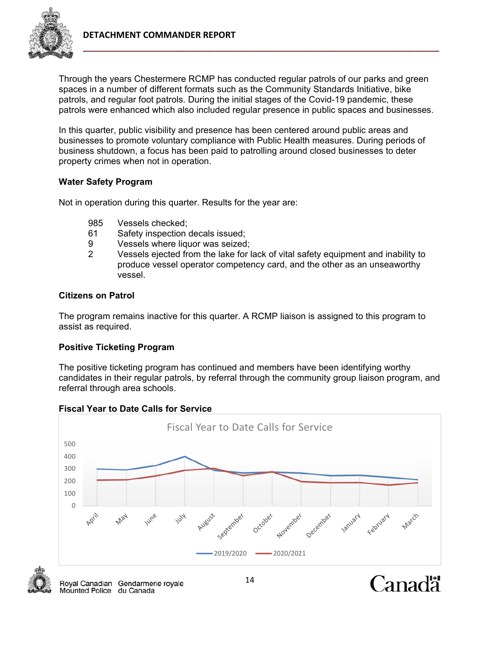

Through the years Chestermere RCMP has conducted regular patrols of our parks and green spaces in a number of different formats such as the Community Standards Initiative, bike patrols, and regular foot patrols. During the initial stages of the Covid-19 pandemic, these patrols were enhanced which also included regular presence in public spaces and businesses.

In this quarter, public visibility and presence has been centered around public areas and businesses to promote voluntary compliance with Public Health measures. During periods of business shutdown, a focus has been paid to patrolling around closed businesses to deter property crimes when not in operation.

## **Water Safety Program**

Not in operation during this quarter. Results for the year are:

- 985 Vessels checked;
- 61 Safety inspection decals issued;
- 9 Vessels where liquor was seized;
- 2 Vessels ejected from the lake for lack of vital safety equipment and inability to produce vessel operator competency card, and the other as an unseaworthy vessel.

## **Citizens on Patrol**

The program remains inactive for this quarter. A RCMP liaison is assigned to this program to assist as required.

## **Positive Ticketing Program**

The positive ticketing program has continued and members have been identifying worthy candidates in their regular patrols, by referral through the community group liaison program, and referral through area schools.



## **Fiscal Year to Date Calls for Service**

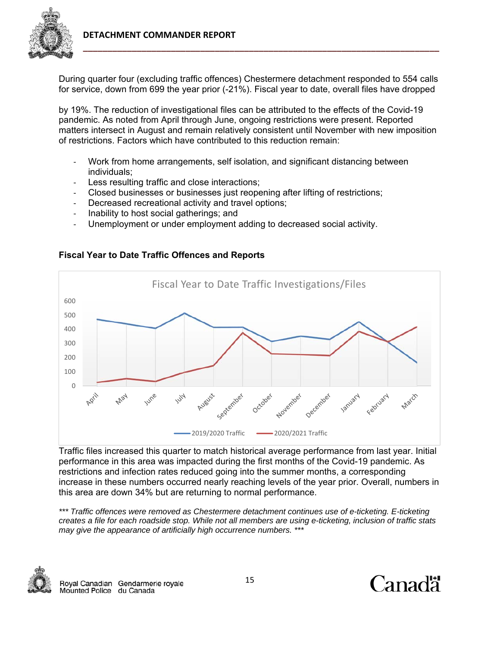

During quarter four (excluding traffic offences) Chestermere detachment responded to 554 calls for service, down from 699 the year prior (-21%). Fiscal year to date, overall files have dropped

by 19%. The reduction of investigational files can be attributed to the effects of the Covid-19 pandemic. As noted from April through June, ongoing restrictions were present. Reported matters intersect in August and remain relatively consistent until November with new imposition of restrictions. Factors which have contributed to this reduction remain:

- ‐ Work from home arrangements, self isolation, and significant distancing between individuals;
- Less resulting traffic and close interactions;
- ‐ Closed businesses or businesses just reopening after lifting of restrictions;
- Decreased recreational activity and travel options;
- ‐ Inability to host social gatherings; and
- Unemployment or under employment adding to decreased social activity.



# **Fiscal Year to Date Traffic Offences and Reports**

Traffic files increased this quarter to match historical average performance from last year. Initial performance in this area was impacted during the first months of the Covid-19 pandemic. As restrictions and infection rates reduced going into the summer months, a corresponding increase in these numbers occurred nearly reaching levels of the year prior. Overall, numbers in this area are down 34% but are returning to normal performance.

*\*\*\* Traffic offences were removed as Chestermere detachment continues use of e-ticketing. E-ticketing creates a file for each roadside stop. While not all members are using e-ticketing, inclusion of traffic stats may give the appearance of artificially high occurrence numbers. \*\*\**